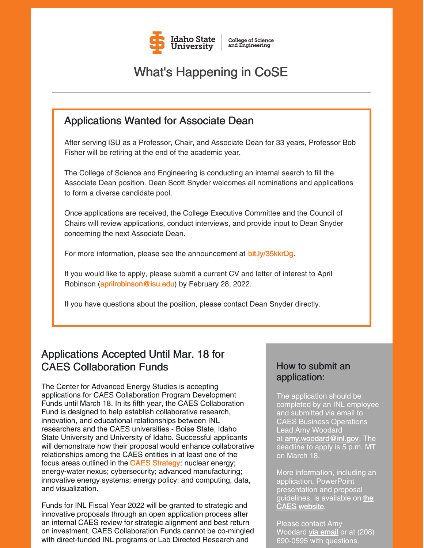

# What's Happening in CoSE

## Applications Wanted for Associate Dean

After serving ISU as a Professor, Chair, and Associate Dean for 33 years, Professor Bob Fisher will be retiring at the end of the academic year.

The College of Science and Engineering is conducting an internal search to fill the Associate Dean position. Dean Scott Snyder welcomes all nominations and applications to form a diverse candidate pool.

Once applications are received, the College Executive Committee and the Council of Chairs will review applications, conduct interviews, and provide input to Dean Snyder concerning the next Associate Dean.

For more information, please see the announcement at [bit.ly/35kkrDg](https://bit.ly/35kkrDg).

If you would like to apply, please submit a current CV and letter of interest to April Robinson ([aprilrobinson@isu.edu\)](mailto:aprilrobinson@isu.edu) by February 28, 2022.

If you have questions about the position, please contact Dean Snyder directly.

## Applications Accepted Until Mar. 18 for CAES Collaboration Funds

The Center for Advanced Energy Studies is accepting applications for CAES Collaboration Program Development Funds until March 18. In its fifth year, the CAES Collaboration Fund is designed to help establish collaborative research, innovation, and educational relationships between INL researchers and the CAES universities - Boise State, Idaho State University and University of Idaho. Successful applicants will demonstrate how their proposal would enhance collaborative relationships among the CAES entities in at least one of the focus areas outlined in the CAES [Strategy](https://caesenergy.org/wp-content/flipbook/strategy/index.html?page=1): nuclear energy; energy-water nexus; cybersecurity; advanced manufacturing; innovative energy systems; energy policy; and computing, data, and visualization.

Funds for INL Fiscal Year 2022 will be granted to strategic and innovative proposals through an open application process after an internal CAES review for strategic alignment and best return on investment. CAES Collaboration Funds cannot be co-mingled with direct-funded INL programs or Lab Directed Research and

### How to submit an application:

The application should be completed by an INL employee and submitted via email to CAES Business Operations Lead Amy Woodard at **[amy.woodard@inl.gov](mailto:amy.woodard@inl.gov)**. The deadline to apply is 5 p.m. MT on March 18.

More information, including an application, PowerPoint presentation and proposal [guidelines,](https://caes.org/collaborationfunds/) is available on the CAES website.

Please contact Amy Woodard via [email](mailto:amy.woodard@inl.gov?subject=CAES Collaboration Fund) or at (208) 690-0595 with questions.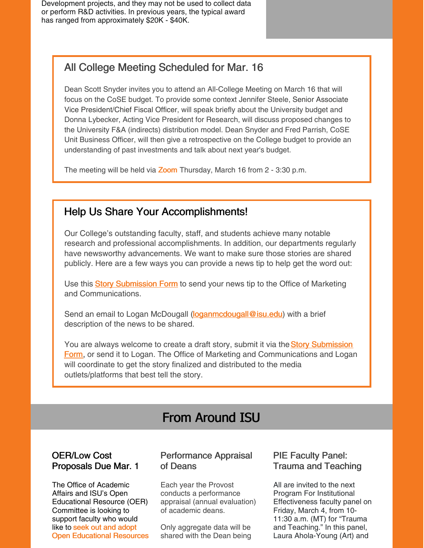Development projects, and they may not be used to collect data or perform R&D activities. In previous years, the typical award has ranged from approximately \$20K - \$40K.

## All College Meeting Scheduled for Mar. 16

Dean Scott Snyder invites you to attend an All-College Meeting on March 16 that will focus on the CoSE budget. To provide some context Jennifer Steele, Senior Associate Vice President/Chief Fiscal Officer, will speak briefly about the University budget and Donna Lybecker, Acting Vice President for Research, will discuss proposed changes to the University F&A (indirects) distribution model. Dean Snyder and Fred Parrish, CoSE Unit Business Officer, will then give a retrospective on the College budget to provide an understanding of past investments and talk about next year's budget.

The meeting will be held via **[Zoom](https://isu.zoom.us/j/83671039173?pwd=S3J1N3ZZS1d6TXJQMFFOZ2ZTc2J4dz09)** Thursday, March 16 from 2 - 3:30 p.m.

### Help Us Share Your Accomplishments!

Our College's outstanding faculty, staff, and students achieve many notable research and professional accomplishments. In addition, our departments regularly have newsworthy advancements. We want to make sure those stories are shared publicly. Here are a few ways you can provide a news tip to help get the word out:

U[s](https://www.isu.edu/news/story-form/)e this **Story [Submission](https://www.isu.edu/news/story-form/) Form** to send your news tip to the Office of Marketing and Communications.

Send an email to Logan McDougall [\(loganmcdougall@isu.edu](mailto:loganmcdougall@isu.edu)) with a brief description of the news to be shared.

You are always welcome to create a draft story, submit it via the **Story Submission** Form, or send it to Logan. The Office of Marketing and [Communications](https://www.isu.edu/news/story-form/) and Logan will coordinate to get the story finalized and distributed to the media outlets/platforms that best tell the story.

# From Around ISU

### OER/Low Cost Proposals Due Mar. 1

The Office of Academic Affairs and ISU's Open Educational Resource (OER) Committee is looking to support faculty who would like to seek out and adopt Open [Educational](https://myemail.constantcontact.com/DUE-MARCH-1--OER-Low-Cost-Proposal.html?soid=1127399030149&aid=QbPmHwVIvjk) Resources

### Performance Appraisal of Deans

Each year the Provost conducts a performance appraisal (annual evaluation) of academic deans.

Only aggregate data will be shared with the Dean being

### PIE Faculty Panel: Trauma and Teaching

All are invited to the next Program For Institutional Effectiveness faculty panel on Friday, March 4, from 10- 11:30 a.m. (MT) for "Trauma and Teaching." In this panel, Laura Ahola-Young (Art) and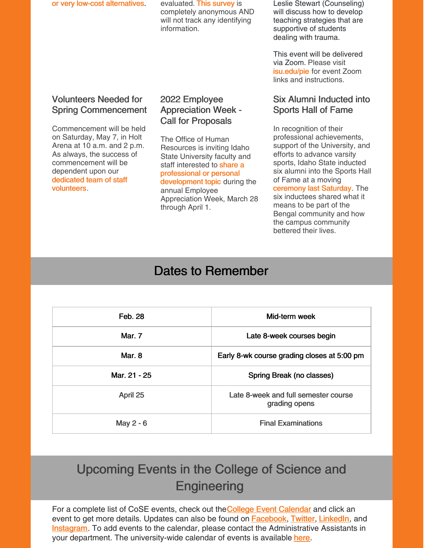or very low-cost alternatives evaluated. This [survey](https://myemail.constantcontact.com/Performance-Appraisal-of-Deans.html?soid=1127399030149&aid=auWWGP2Kn5I) is

completely anonymous AND will not track any identifying information.

Leslie Stewart (Counseling) will discuss how to develop teaching strategies that are supportive of students dealing with trauma.

This event will be delivered via Zoom. Please visit [isu.edu/pie](https://www.isu.edu/pie/) for event Zoom links and instructions.

### Volunteers Needed for Spring Commencement

Commencement will be held on Saturday, May 7, in Holt Arena at 10 a.m. and 2 p.m. As always, the success of commencement will be dependent upon our dedicated team of staff [volunteers.](https://www.isu.edu/news/2022-spring/volunteers-needed-for-spring-commencement.html)

### 2022 Employee Appreciation Week - Call for Proposals

The Office of Human Resources is inviting Idaho State University faculty and staff interested to **share a** [professional](https://www.isu.edu/news/2022-spring/2022-employee-appreciation-week---call-for-proposals.html) or personal development topic during the annual Employee Appreciation Week, March 28 through April 1.

### Six Alumni Inducted into Sports Hall of Fame

In recognition of their professional achievements, support of the University, and efforts to advance varsity sports, Idaho State inducted six alumni into the Sports Hall of Fame at a moving [ceremony](https://www.youtube.com/watch?v=pblfJUNQwUs) last Saturday. The

six inductees shared what it means to be part of the Bengal community and how the campus community bettered their lives.

# Dates to Remember

| Feb. 28       | Mid-term week                                         |
|---------------|-------------------------------------------------------|
| <b>Mar. 7</b> | Late 8-week courses begin                             |
| Mar. 8        | Early 8-wk course grading closes at 5:00 pm           |
| Mar. 21 - 25  | Spring Break (no classes)                             |
| April 25      | Late 8-week and full semester course<br>grading opens |
| May 2 - 6     | <b>Final Examinations</b>                             |

# Upcoming Events in the College of Science and **Engineering**

For a compl[e](https://isu.edu/cse/calendar/)te list of CoSE events, check out the College Event [Calendar](https://isu.edu/cse/calendar/) and click an event to get more details. Updates can also be found on [Facebook](https://www.facebook.com/IdahoStateUCoSE), [Twitter](https://twitter.com/IdahoStateUCoSE), [LinkedIn](https://www.linkedin.com/company/idaho-state-university-college-of-science-and-engineering), and **[Instagram](https://www.instagram.com/idahostateucose/)**. To add events to the calendar, please contact the Administrative Assistants in your department. The university-wide calendar of events is available [here](https://www.isu.edu/calendar/).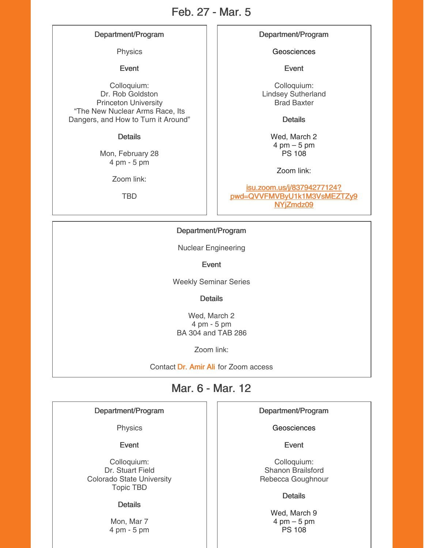### Feb. 27 - Mar. 5

#### Department/Program

Physics

Event

Colloquium: Dr. Rob Goldston Princeton University "The New Nuclear Arms Race, Its Dangers, and How to Turn it Around"

#### **Details**

Mon, February 28 4 pm - 5 pm

Zoom link:

TBD

#### Department/Program

Geosciences

Event

Colloquium: Lindsey Sutherland Brad Baxter

**Details** 

Wed, March 2  $4 \text{ pm} - 5 \text{ pm}$ PS 108

Zoom link:

isu.zoom.us/j/83794277124? [pwd=QVVFMVByU1k1M3VsMEZTZy9](https://isu.zoom.us/j/83794277124?pwd=QVVFMVByU1k1M3VsMEZTZy9NYjZmdz09) NYjZmdz09

#### Department/Program

Nuclear Engineering

Event

Weekly Seminar Series

**Details** 

Wed, March 2 4 pm - 5 pm BA 304 and TAB 286

Zoom link:

Contact Dr. [Amir](mailto:aliamir@isu.edu) Ali for Zoom access

### Mar. 6 - Mar. 12

Department/Program

**Physics** 

Event

Colloquium: Dr. Stuart Field Colorado State University Topic TBD

#### **Details**

Mon, Mar 7 4 pm - 5 pm Department/Program

**Geosciences** 

Event

Colloquium: Shanon Brailsford Rebecca Goughnour

#### **Details**

Wed, March 9 4 pm – 5 pm PS 108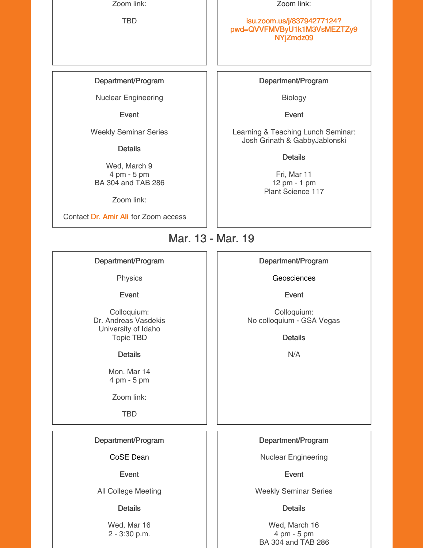Zoom link:

TBD

#### Zoom link:

#### isu.zoom.us/j/83794277124? [pwd=QVVFMVByU1k1M3VsMEZTZy9](https://isu.zoom.us/j/83794277124?pwd=QVVFMVByU1k1M3VsMEZTZy9NYjZmdz09) NYjZmdz09

#### Department/Program

Nuclear Engineering

Event

Weekly Seminar Series

**Details** 

Wed, March 9 4 pm - 5 pm BA 304 and TAB 286

Zoom link:

Contact Dr. [Amir](mailto:aliamir@isu.edu) Ali for Zoom access

#### Department/Program

Biology

Event

Learning & Teaching Lunch Seminar: Josh Grinath & GabbyJablonski

**Details** 

Fri, Mar 11 12 pm - 1 pm Plant Science 117

## Mar. 13 - Mar. 19

#### Department/Program

Physics

Event

Colloquium: Dr. Andreas Vasdekis University of Idaho Topic TBD

**Details** 

Mon, Mar 14 4 pm - 5 pm

Zoom link:

TBD

#### Department/Program

CoSE Dean

Event

All College Meeting

#### **Details**

Wed, Mar 16 2 - 3:30 p.m.

#### Department/Program

**Geosciences** 

Event

Colloquium: No colloquium - GSA Vegas

**Details** 

N/A

Department/Program

Nuclear Engineering

Event

Weekly Seminar Series

**Details** 

Wed, March 16 4 pm - 5 pm BA 304 and TAB 286